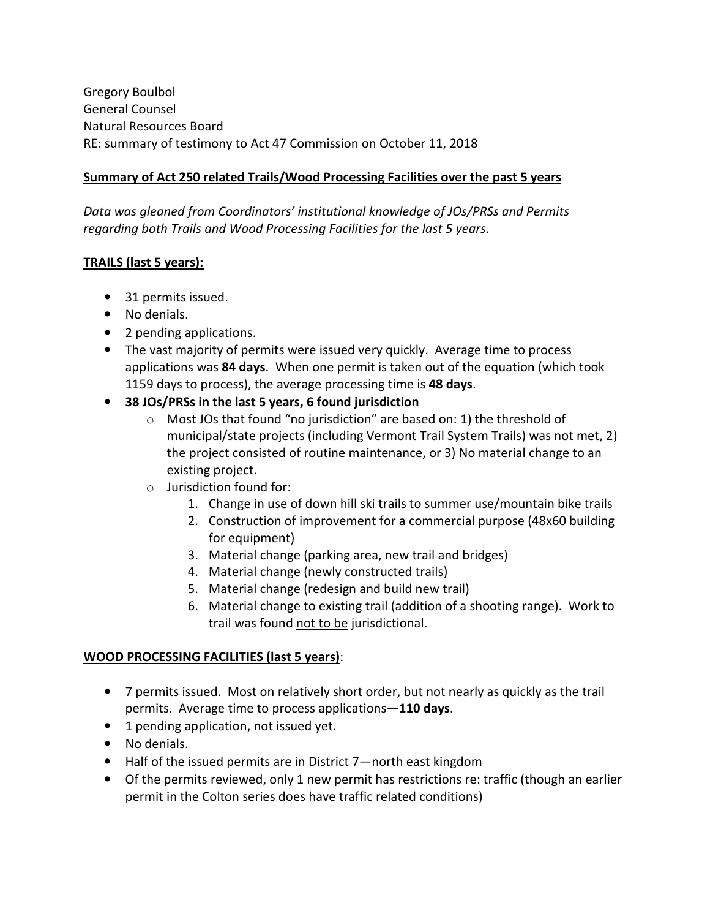Gregory Boulbol General Counsel Natural Resources Board RE: summary of testimony to Act 47 Commission on October 11, 2018

## **Summary of Act 250 related Trails/Wood Processing Facilities over the past 5 years**

*Data was gleaned from Coordinators' institutional knowledge of JOs/PRSs and Permits regarding both Trails and Wood Processing Facilities for the last 5 years.* 

## **TRAILS (last 5 years):**

- 31 permits issued.
- No denials.
- 2 pending applications.
- The vast majority of permits were issued very quickly. Average time to process applications was **84 days**. When one permit is taken out of the equation (which took 1159 days to process), the average processing time is **48 days**.
- **38 JOs/PRSs in the last 5 years, 6 found jurisdiction** 
	- o Most JOs that found "no jurisdiction" are based on: 1) the threshold of municipal/state projects (including Vermont Trail System Trails) was not met, 2) the project consisted of routine maintenance, or 3) No material change to an existing project.
	- o Jurisdiction found for:
		- 1. Change in use of down hill ski trails to summer use/mountain bike trails
		- 2. Construction of improvement for a commercial purpose (48x60 building for equipment)
		- 3. Material change (parking area, new trail and bridges)
		- 4. Material change (newly constructed trails)
		- 5. Material change (redesign and build new trail)
		- 6. Material change to existing trail (addition of a shooting range). Work to trail was found not to be jurisdictional.

## **WOOD PROCESSING FACILITIES (last 5 years)**:

- 7 permits issued. Most on relatively short order, but not nearly as quickly as the trail permits. Average time to process applications—**110 days**.
- 1 pending application, not issued yet.
- No denials.
- Half of the issued permits are in District 7—north east kingdom
- Of the permits reviewed, only 1 new permit has restrictions re: traffic (though an earlier permit in the Colton series does have traffic related conditions)